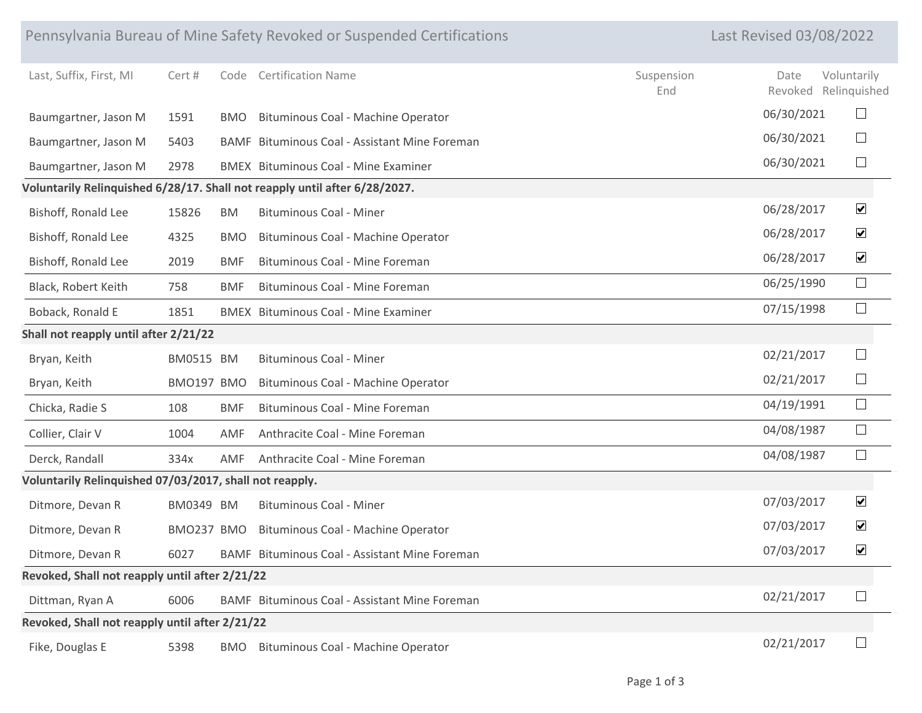|                                                         |            |            | Pennsylvania Bureau of Mine Safety Revoked or Suspended Certifications     |                   | <b>Last Revised 03/08/2022</b> |                 |                             |
|---------------------------------------------------------|------------|------------|----------------------------------------------------------------------------|-------------------|--------------------------------|-----------------|-----------------------------|
| Last, Suffix, First, MI                                 | Cert #     | Code       | <b>Certification Name</b>                                                  | Suspension<br>End |                                | Date<br>Revoked | Voluntarily<br>Relinquished |
| Baumgartner, Jason M                                    | 1591       | <b>BMO</b> | Bituminous Coal - Machine Operator                                         |                   |                                | 06/30/2021      | $\Box$                      |
| Baumgartner, Jason M                                    | 5403       |            | BAMF Bituminous Coal - Assistant Mine Foreman                              |                   |                                | 06/30/2021      | $\Box$                      |
| Baumgartner, Jason M                                    | 2978       |            | <b>BMEX</b> Bituminous Coal - Mine Examiner                                |                   |                                | 06/30/2021      | $\Box$                      |
|                                                         |            |            | Voluntarily Relinquished 6/28/17. Shall not reapply until after 6/28/2027. |                   |                                |                 |                             |
| Bishoff, Ronald Lee                                     | 15826      | BM         | <b>Bituminous Coal - Miner</b>                                             |                   |                                | 06/28/2017      | $\blacktriangledown$        |
| Bishoff, Ronald Lee                                     | 4325       | <b>BMO</b> | Bituminous Coal - Machine Operator                                         |                   |                                | 06/28/2017      | $\blacktriangledown$        |
| Bishoff, Ronald Lee                                     | 2019       | <b>BMF</b> | <b>Bituminous Coal - Mine Foreman</b>                                      |                   |                                | 06/28/2017      | $\blacktriangledown$        |
| Black, Robert Keith                                     | 758        | <b>BMF</b> | Bituminous Coal - Mine Foreman                                             |                   |                                | 06/25/1990      | $\Box$                      |
| Boback, Ronald E                                        | 1851       |            | <b>BMEX</b> Bituminous Coal - Mine Examiner                                |                   |                                | 07/15/1998      | $\Box$                      |
| Shall not reapply until after 2/21/22                   |            |            |                                                                            |                   |                                |                 |                             |
| Bryan, Keith                                            | BM0515 BM  |            | <b>Bituminous Coal - Miner</b>                                             |                   |                                | 02/21/2017      | $\Box$                      |
| Bryan, Keith                                            | BMO197 BMO |            | Bituminous Coal - Machine Operator                                         |                   |                                | 02/21/2017      | $\Box$                      |
| Chicka, Radie S                                         | 108        | <b>BMF</b> | Bituminous Coal - Mine Foreman                                             |                   |                                | 04/19/1991      | $\Box$                      |
| Collier, Clair V                                        | 1004       | AMF        | Anthracite Coal - Mine Foreman                                             |                   |                                | 04/08/1987      | $\Box$                      |
| Derck, Randall                                          | 334x       | AMF        | Anthracite Coal - Mine Foreman                                             |                   |                                | 04/08/1987      | $\Box$                      |
| Voluntarily Relinquished 07/03/2017, shall not reapply. |            |            |                                                                            |                   |                                |                 |                             |
| Ditmore, Devan R                                        | BM0349 BM  |            | <b>Bituminous Coal - Miner</b>                                             |                   |                                | 07/03/2017      | $\overline{\mathbf{v}}$     |
| Ditmore, Devan R                                        | BMO237 BMO |            | Bituminous Coal - Machine Operator                                         |                   |                                | 07/03/2017      | $\blacktriangledown$        |
| Ditmore, Devan R                                        | 6027       |            | BAMF Bituminous Coal - Assistant Mine Foreman                              |                   |                                | 07/03/2017      | $\overline{\mathbf{v}}$     |
| Revoked, Shall not reapply until after 2/21/22          |            |            |                                                                            |                   |                                |                 |                             |
| Dittman, Ryan A                                         | 6006       |            | BAMF Bituminous Coal - Assistant Mine Foreman                              |                   |                                | 02/21/2017      | $\Box$                      |
| Revoked, Shall not reapply until after 2/21/22          |            |            |                                                                            |                   |                                |                 |                             |
| Fike, Douglas E                                         | 5398       | BMO        | Bituminous Coal - Machine Operator                                         |                   |                                | 02/21/2017      | $\Box$                      |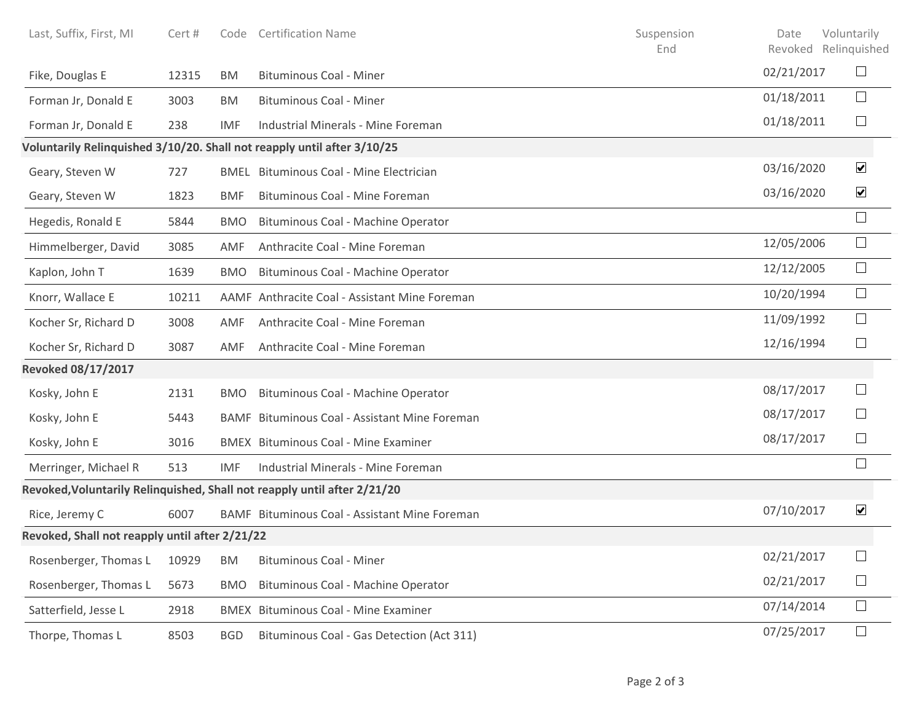| Last, Suffix, First, MI                        | Cert # | Code       | <b>Certification Name</b>                                                | Suspension<br>End | Date<br>Revoked Relinquished | Voluntarily          |
|------------------------------------------------|--------|------------|--------------------------------------------------------------------------|-------------------|------------------------------|----------------------|
| Fike, Douglas E                                | 12315  | <b>BM</b>  | <b>Bituminous Coal - Miner</b>                                           |                   | 02/21/2017                   | $\Box$               |
| Forman Jr, Donald E                            | 3003   | BM         | <b>Bituminous Coal - Miner</b>                                           |                   | 01/18/2011                   | $\Box$               |
| Forman Jr, Donald E                            | 238    | <b>IMF</b> | Industrial Minerals - Mine Foreman                                       |                   | 01/18/2011                   | $\Box$               |
|                                                |        |            | Voluntarily Relinquished 3/10/20. Shall not reapply until after 3/10/25  |                   |                              |                      |
| Geary, Steven W                                | 727    |            | <b>BMEL</b> Bituminous Coal - Mine Electrician                           |                   | 03/16/2020                   | $\blacktriangledown$ |
| Geary, Steven W                                | 1823   | <b>BMF</b> | Bituminous Coal - Mine Foreman                                           |                   | 03/16/2020                   | $\blacktriangledown$ |
| Hegedis, Ronald E                              | 5844   | <b>BMO</b> | Bituminous Coal - Machine Operator                                       |                   |                              | $\Box$               |
| Himmelberger, David                            | 3085   | AMF        | Anthracite Coal - Mine Foreman                                           |                   | 12/05/2006                   | $\Box$               |
| Kaplon, John T                                 | 1639   | <b>BMO</b> | Bituminous Coal - Machine Operator                                       |                   | 12/12/2005                   | $\Box$               |
| Knorr, Wallace E                               | 10211  |            | AAMF Anthracite Coal - Assistant Mine Foreman                            |                   | 10/20/1994                   | $\Box$               |
| Kocher Sr, Richard D                           | 3008   | AMF        | Anthracite Coal - Mine Foreman                                           |                   | 11/09/1992                   | $\Box$               |
| Kocher Sr, Richard D                           | 3087   | AMF        | Anthracite Coal - Mine Foreman                                           |                   | 12/16/1994                   | $\Box$               |
| <b>Revoked 08/17/2017</b>                      |        |            |                                                                          |                   |                              |                      |
| Kosky, John E                                  | 2131   | <b>BMO</b> | Bituminous Coal - Machine Operator                                       |                   | 08/17/2017                   | $\vert \ \ \vert$    |
| Kosky, John E                                  | 5443   |            | BAMF Bituminous Coal - Assistant Mine Foreman                            |                   | 08/17/2017                   | ⊔                    |
| Kosky, John E                                  | 3016   |            | <b>BMEX</b> Bituminous Coal - Mine Examiner                              |                   | 08/17/2017                   | $\Box$               |
| Merringer, Michael R                           | 513    | IMF        | Industrial Minerals - Mine Foreman                                       |                   |                              |                      |
|                                                |        |            | Revoked, Voluntarily Relinquished, Shall not reapply until after 2/21/20 |                   |                              |                      |
| Rice, Jeremy C                                 | 6007   |            | BAMF Bituminous Coal - Assistant Mine Foreman                            |                   | 07/10/2017                   | $\blacktriangledown$ |
| Revoked, Shall not reapply until after 2/21/22 |        |            |                                                                          |                   |                              |                      |
| Rosenberger, Thomas L                          | 10929  | BM         | <b>Bituminous Coal - Miner</b>                                           |                   | 02/21/2017                   | $\Box$               |
| Rosenberger, Thomas L                          | 5673   | <b>BMO</b> | Bituminous Coal - Machine Operator                                       |                   | 02/21/2017                   | $\Box$               |
| Satterfield, Jesse L                           | 2918   |            | <b>BMEX</b> Bituminous Coal - Mine Examiner                              |                   | 07/14/2014                   | $\Box$               |
| Thorpe, Thomas L                               | 8503   | <b>BGD</b> | Bituminous Coal - Gas Detection (Act 311)                                |                   | 07/25/2017                   | $\Box$               |